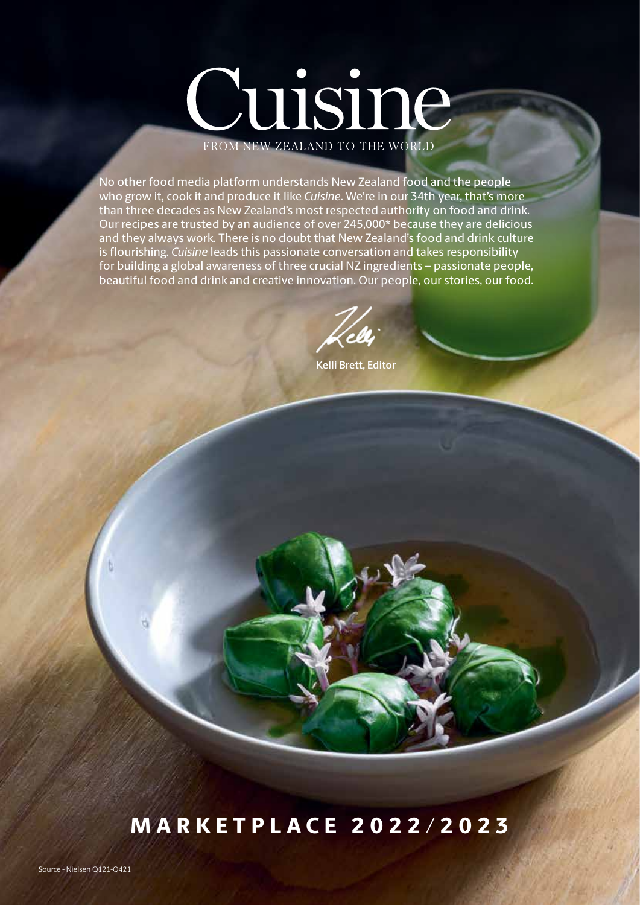# Cuisine FROM NEW ZEALAND TO THE WORLD

No other food media platform understands New Zealand food and the people who grow it, cook it and produce it like *Cuisine*. We're in our 34th year, that's more than three decades as New Zealand's most respected authority on food and drink. Our recipes are trusted by an audience of over 245,000\* because they are delicious and they always work. There is no doubt that New Zealand's food and drink culture is flourishing. *Cuisine* leads this passionate conversation and takes responsibility for building a global awareness of three crucial NZ ingredients – passionate people, beautiful food and drink and creative innovation. Our people, our stories, our food.

Kelli Brett, Editor

## MARKETPLACE 2022/2023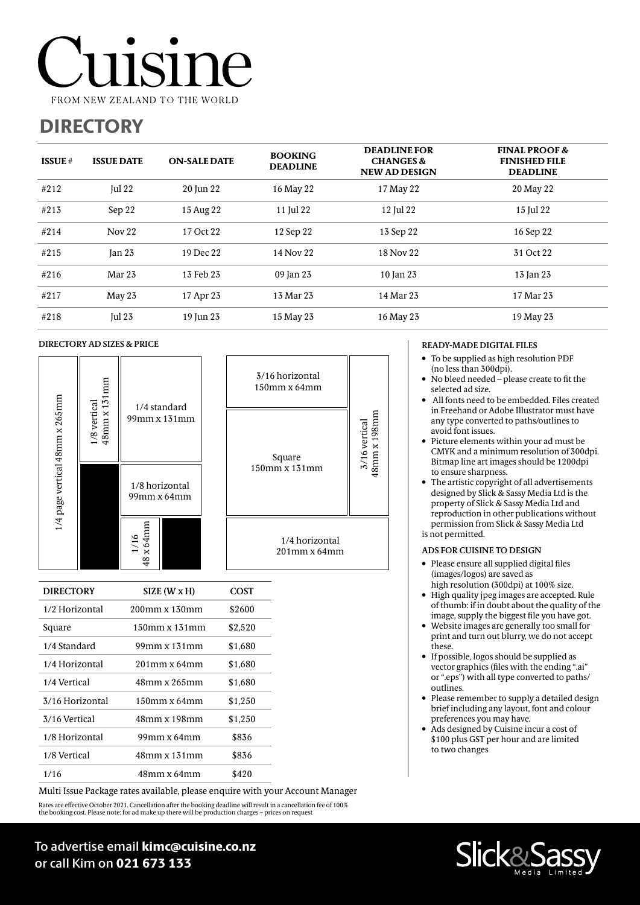## **11S1M** FROM NEW ZEALAND TO THE WORLD

### **DIRECTORY**

| <b>ISSUE</b> $#$ | <b>ISSUE DATE</b> | <b>ON-SALE DATE</b> | <b>BOOKING</b><br><b>DEADLINE</b> | <b>DEADLINE FOR</b><br><b>CHANGES &amp;</b><br><b>NEW AD DESIGN</b> | <b>FINAL PROOF &amp;</b><br><b>FINISHED FILE</b><br><b>DEADLINE</b> |
|------------------|-------------------|---------------------|-----------------------------------|---------------------------------------------------------------------|---------------------------------------------------------------------|
| #212             | $\text{Iul} 22$   | 20 Jun 22           | 16 May 22                         | 17 May 22                                                           | 20 May 22                                                           |
| #213             | Sep 22            | 15 Aug 22           | 11 Jul 22                         | 12 Jul 22                                                           | 15 Jul 22                                                           |
| #214             | Nov <sub>22</sub> | 17 Oct 22           | 12 Sep 22                         | 13 Sep 22                                                           | 16 Sep 22                                                           |
| #215             | $\tan 23$         | 19 Dec 22           | 14 Nov 22                         | 18 Nov 22                                                           | 31 Oct 22                                                           |
| #216             | Mar 23            | 13 Feb 23           | 09 Jan 23                         | 10 Jan 23                                                           | 13 Jan 23                                                           |
| #217             | May 23            | 17 Apr 23           | 13 Mar 23                         | 14 Mar 23                                                           | 17 Mar 23                                                           |
| #218             | Jul $23$          | 19 Jun 23           | 15 May 23                         | 16 May 23                                                           | 19 May 23                                                           |

8mm x 198mm 1 X 198 mm

48mm x 198mm

#### DIRECTORY AD SIZES & PRICE



| <b>DIRECTORY</b> | SIZE (W x H)    | COST    |
|------------------|-----------------|---------|
| 1/2 Horizontal   | 200mm x 130mm   | \$2600  |
| Square           | 150mm x 131mm   | \$2,520 |
| 1/4 Standard     | 99mm x 131mm    | \$1,680 |
| 1/4 Horizontal   | 201mm x 64mm    | \$1,680 |
| 1/4 Vertical     | 48mm x 265mm    | \$1,680 |
| 3/16 Horizontal  | $150$ mm x 64mm | \$1,250 |
| 3/16 Vertical    | 48mm x 198mm    | \$1,250 |
| 1/8 Horizontal   | 99mm x 64mm     | \$836   |
| 1/8 Vertical     | 48mm x 131mm    | \$836   |
| 1/16             | 48mm x 64mm     | \$420   |

Rates are effective October 2021. Cancellation after the booking deadline will result in a cancellation fee of 100% Multi Issue Package rates available, please enquire with your Account Manager

the booking cost. Please note: for ad make up there will be production charges – prices on request

#### READY-MADE DIGITAL FILES

- To be supplied as high resolution PDF (no less than 300dpi).
- No bleed needed please create to fit the selected ad size.
- All fonts need to be embedded. Files created in Freehand or Adobe Illustrator must have any type converted to paths/outlines to avoid font issues.
- Picture elements within your ad must be CMYK and a minimum resolution of 300dpi. Bitmap line art images should be 1200dpi to ensure sharpness.
- The artistic copyright of all advertisements designed by Slick & Sassy Media Ltd is the property of Slick & Sassy Media Ltd and reproduction in other publications without permission from Slick & Sassy Media Ltd is not permitted.

#### ADS FOR CUISINE TO DESIGN

- Please ensure all supplied digital files (images/logos) are saved as high resolution (300dpi) at 100% size.
- High quality jpeg images are accepted. Rule of thumb: if in doubt about the quality of the image, supply the biggest file you have got.
- Website images are generally too small for print and turn out blurry, we do not accept these.
- If possible, logos should be supplied as vector graphics (files with the ending ".ai" or ".eps") with all type converted to paths/ outlines.
- Please remember to supply a detailed design brief including any layout, font and colour preferences you may have.
- Ads designed by Cuisine incur a cost of \$100 plus GST per hour and are limited to two changes



To advertise email kimc@cuisine.co.nz or call Kim on 021 673 133